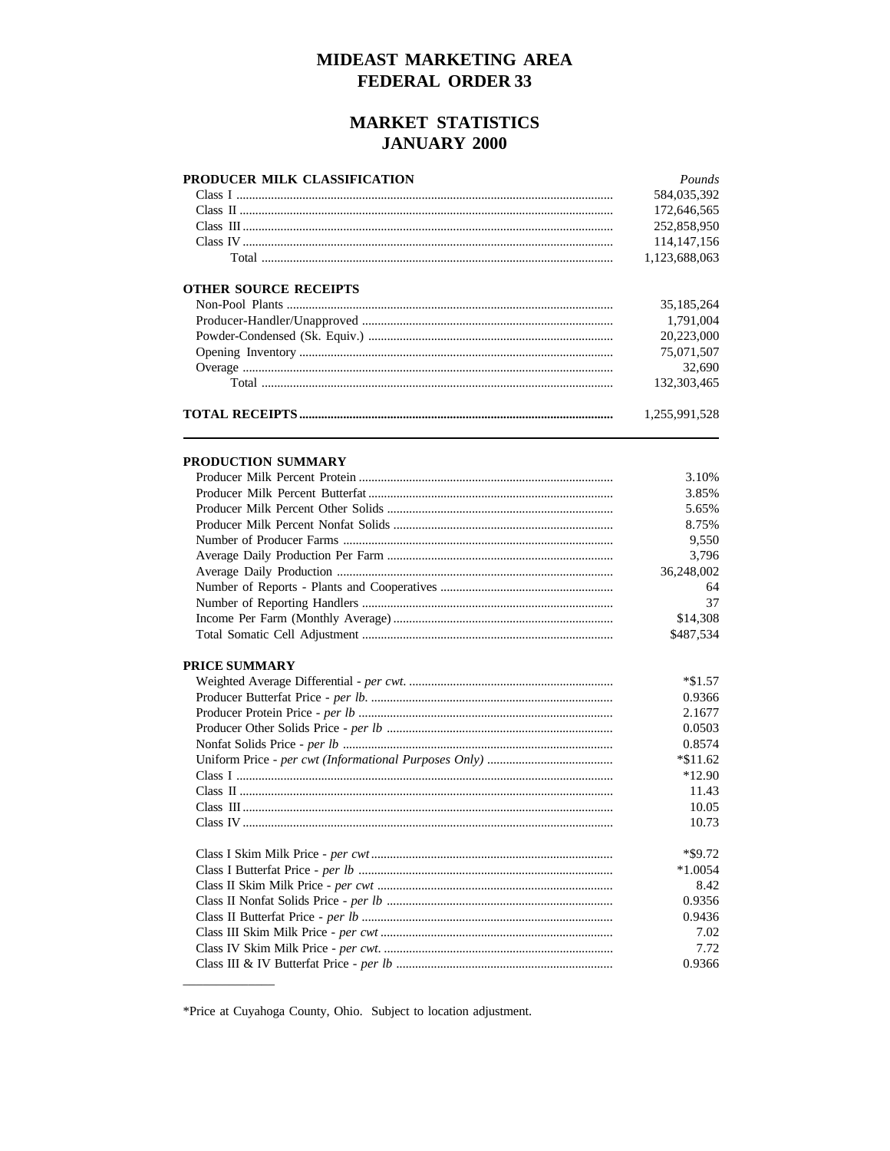#### MIDEAST MARKETING AREA **FEDERAL ORDER 33**

#### **MARKET STATISTICS JANUARY 2000**

| PRODUCER MILK CLASSIFICATION | Pounds        |
|------------------------------|---------------|
|                              | 584,035,392   |
|                              | 172,646,565   |
|                              | 252,858,950   |
|                              | 114, 147, 156 |
|                              | 1,123,688,063 |
| <b>OTHER SOURCE RECEIPTS</b> |               |
|                              | 35,185,264    |
|                              | 1,791,004     |
|                              | 20,223,000    |
|                              | 75,071,507    |
|                              | 32,690        |
|                              | 132,303,465   |
|                              | 1,255,991,528 |
|                              |               |
| PRODUCTION SUMMARY           |               |
|                              | 3.10%         |
|                              | 3.85%         |
|                              | 5.65%         |
|                              | 8.75%         |
|                              | 9,550         |
|                              | 3,796         |
|                              | 36,248,002    |
|                              | 64            |
|                              | 37            |
|                              | \$14,308      |
|                              | \$487,534     |
| <b>PRICE SUMMARY</b>         |               |
|                              | $*\$1.57$     |
|                              | 0.9366        |
|                              | 2.1677        |
|                              | 0.0503        |
|                              | 0.8574        |
|                              | $*\$11.62$    |
|                              | $*12.90$      |
|                              | 11.43         |
|                              | 10.05         |
|                              | 10.73         |
|                              | *\$9.72       |
|                              | $*1.0054$     |
|                              | 8.42          |
|                              | 0.9356        |
|                              | 0.9436        |
|                              | 7.02          |
|                              | 7.72          |
|                              | 0.9366        |

<sup>\*</sup>Price at Cuyahoga County, Ohio. Subject to location adjustment.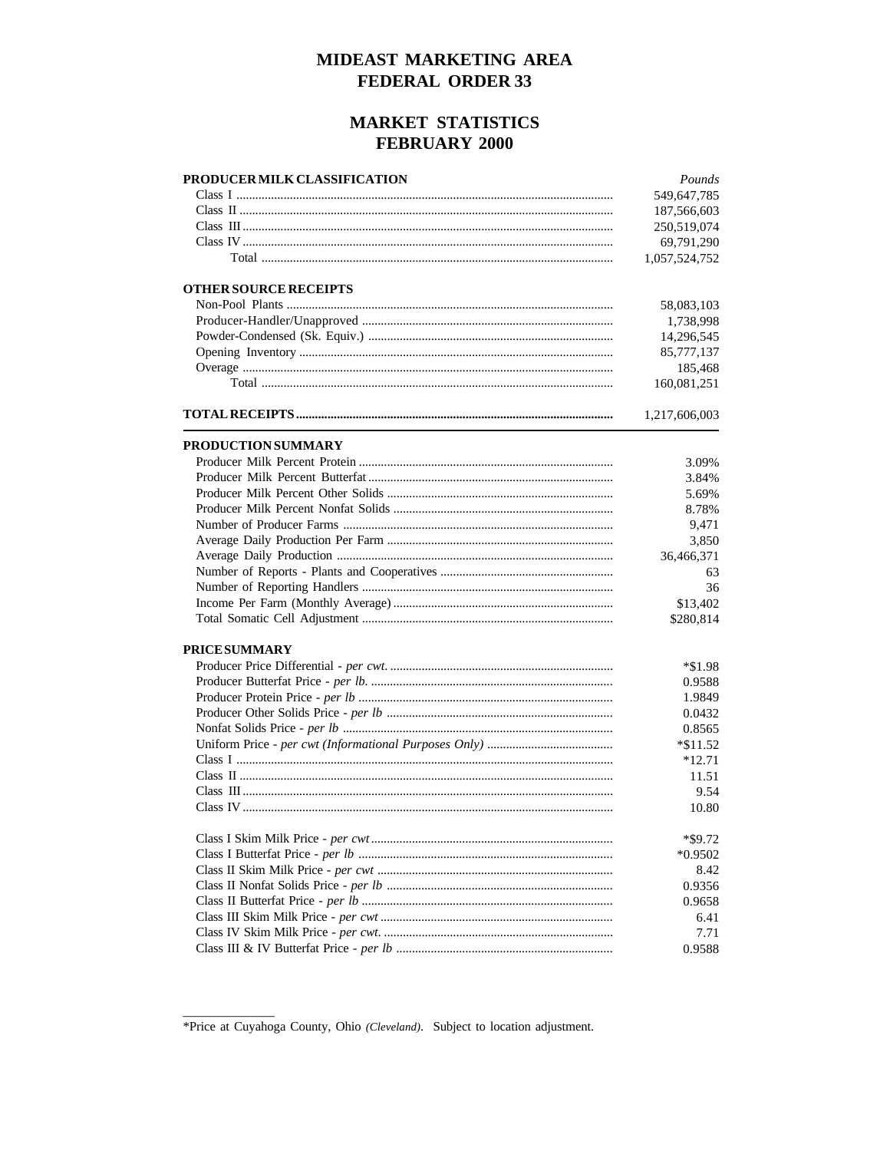#### MIDEAST MARKETING AREA **FEDERAL ORDER 33**

#### **MARKET STATISTICS FEBRUARY 2000**

| PRODUCER MILK CLASSIFICATION | Pounds        |
|------------------------------|---------------|
|                              | 549,647,785   |
|                              | 187,566,603   |
|                              | 250,519,074   |
|                              | 69,791,290    |
|                              | 1,057,524,752 |
|                              |               |
| <b>OTHER SOURCE RECEIPTS</b> |               |
|                              | 58,083,103    |
|                              | 1,738,998     |
|                              | 14,296,545    |
|                              | 85,777,137    |
|                              | 185,468       |
|                              | 160,081,251   |
|                              | 1,217,606,003 |
| <b>PRODUCTION SUMMARY</b>    |               |
|                              | 3.09%         |
|                              | 3.84%         |
|                              | 5.69%         |
|                              | 8.78%         |
|                              | 9,471         |
|                              | 3,850         |
|                              |               |
|                              | 36,466,371    |
|                              | 63            |
|                              | 36            |
|                              | \$13,402      |
|                              | \$280,814     |
| <b>PRICESUMMARY</b>          |               |
|                              | $*$ \$1.98    |
|                              | 0.9588        |
|                              | 1.9849        |
|                              | 0.0432        |
|                              | 0.8565        |
|                              | $*\$11.52$    |
|                              | $*12.71$      |
|                              | 11.51         |
|                              | 9.54          |
|                              | 10.80         |
|                              | *\$9.72       |
|                              | $*0.9502$     |
|                              | 8.42          |
|                              |               |
|                              | 0.9356        |
|                              | 0.9658        |
|                              | 6.41          |
|                              | 7.71          |
|                              | 0.9588        |

<sup>\*</sup>Price at Cuyahoga County, Ohio (Cleveland). Subject to location adjustment.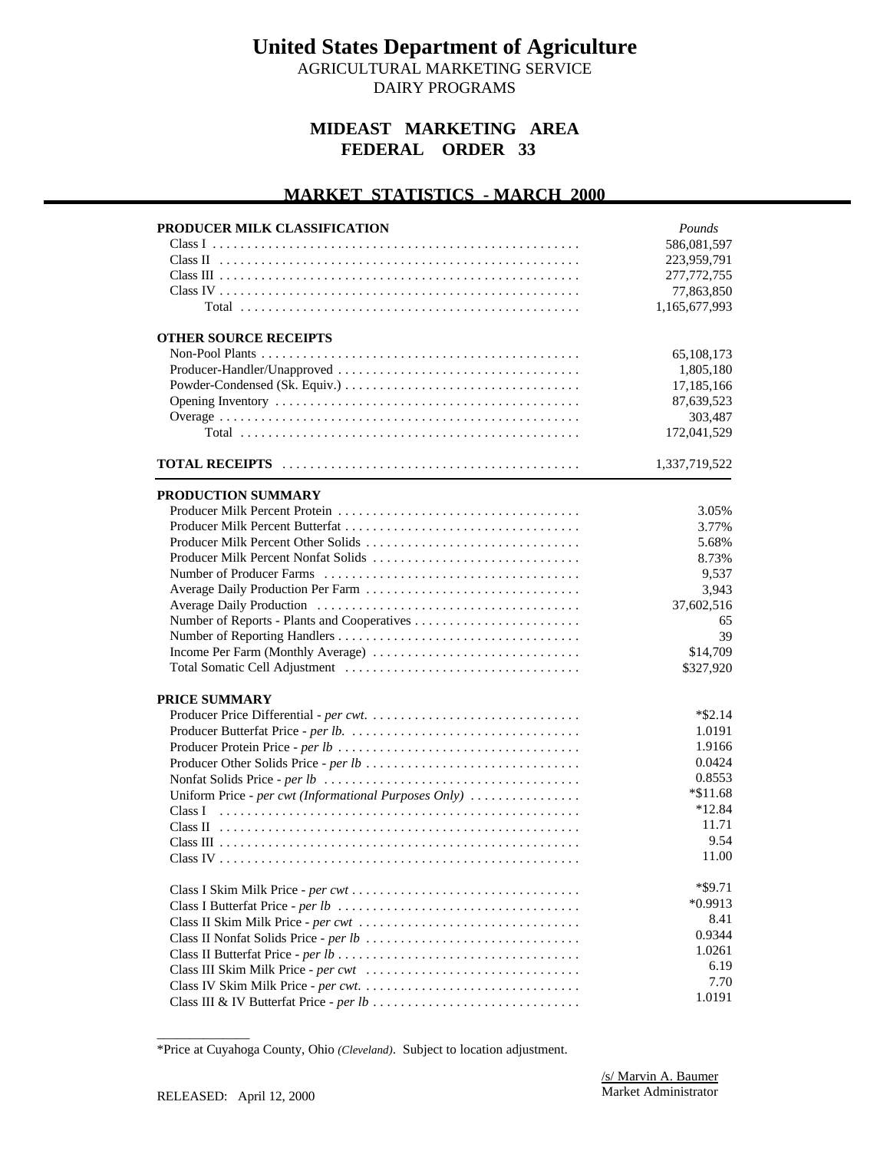AGRICULTURAL MARKETING SERVICE DAIRY PROGRAMS

#### **MIDEAST MARKETING AREA FEDERAL ORDER 33**

#### **MARKET STATISTICS - MARCH 2000 PRODUCER MILK CLASSIFICATION** Class I ..................................................... Class II .................................................... Class III .................................................... Class IV .................................................... Total ................................................. **OTHER SOURCE RECEIPTS** Non-Pool Plants .............................................. Producer-Handler/Unapproved ................................... Powder-Condensed (Sk. Equiv.) .................................. Opening Inventory ............................................ Overage .................................................... Total ................................................. **TOTAL RECEIPTS** ........................................... **PRODUCTION SUMMARY** Producer Milk Percent Protein ................................... Producer Milk Percent Butterfat .................................. Producer Milk Percent Other Solids ............................... Producer Milk Percent Nonfat Solids ................................ Number of Producer Farms ..................................... Average Daily Production Per Farm ............................... Average Daily Production ...................................... Number of Reports - Plants and Cooperatives ........................ Number of Reporting Handlers ................................... Income Per Farm (Monthly Average) .............................. Total Somatic Cell Adjustment .................................. **PRICE SUMMARY** Producer Price Differential *- per cwt*. .............................. Producer Butterfat Price *- per lb.* ................................. Producer Protein Price *- per lb* ................................... Producer Other Solids Price *- per lb* ............................... Nonfat Solids Price *- per lb* ..................................... Uniform Price - per cwt (Informational Purposes Only) ................. Class I .................................................... Class II .................................................... Class III .................................................... Class IV .................................................... Class I Skim Milk Price *- per cwt* ................................. Class I Butterfat Price *- per lb* ................................... Class II Skim Milk Price *- per cwt* ................................ Class II Nonfat Solids Price *- per lb* ............................... Class II Butterfat Price *- per lb* ................................... Class III Skim Milk Price *- per cwt* ............................... Class IV Skim Milk Price *- per cwt*. ............................... *Pounds* 586,081,597 223,959,791 277,772,755 77,863,850 1,165,677,993 65,108,173 1,805,180 17,185,166 87,639,523 303,487 172,041,529 1,337,719,522 3.05% 3.77% 5.68% 8.73% 9,537 3,943 37,602,516 65 39 \$14,709 \$327,920 \*\$2.14 1.0191 1.9166 0.0424 0.8553 \*\$11.68 \*12.84 11.71 9.54 11.00 \*\$9.71 \*0.9913 8.41 0.9344 1.0261 6.19 7.70

Class III & IV Butterfat Price *- per lb* ..............................

1.0191

\_\_\_\_\_\_\_\_\_\_\_\_\_\_ \*Price at Cuyahoga County, Ohio *(Cleveland)*. Subject to location adjustment.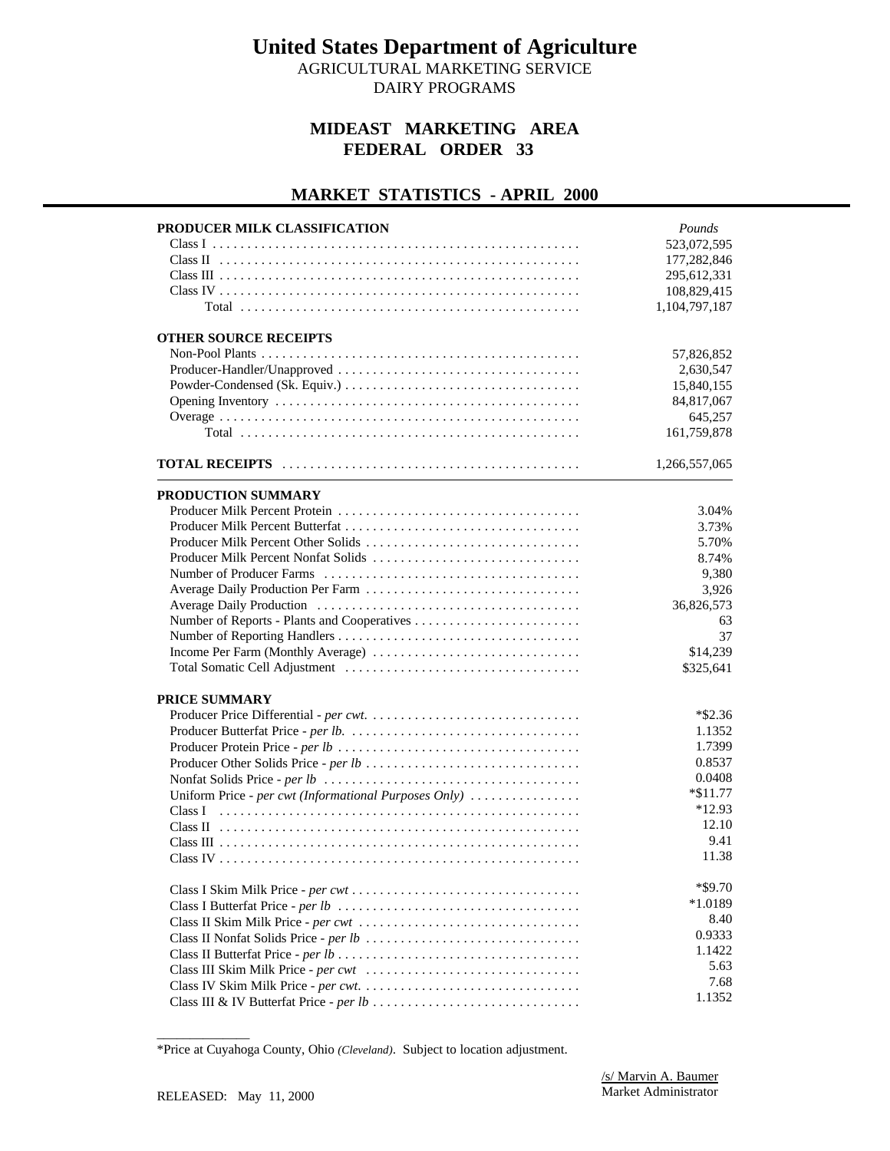AGRICULTURAL MARKETING SERVICE DAIRY PROGRAMS

#### **MIDEAST MARKETING AREA FEDERAL ORDER 33**

#### **MARKET STATISTICS - APRIL 2000**

| PRODUCER MILK CLASSIFICATION<br><b>OTHER SOURCE RECEIPTS</b> | Pounds<br>523,072,595<br>177,282,846<br>295,612,331<br>108,829,415<br>1,104,797,187<br>57,826,852<br>2,630,547<br>15,840,155 |
|--------------------------------------------------------------|------------------------------------------------------------------------------------------------------------------------------|
|                                                              | 84,817,067<br>645,257<br>161,759,878                                                                                         |
|                                                              | 1,266,557,065                                                                                                                |
|                                                              |                                                                                                                              |
| PRODUCTION SUMMARY                                           |                                                                                                                              |
|                                                              | 3.04%                                                                                                                        |
|                                                              | 3.73%                                                                                                                        |
| Producer Milk Percent Other Solids                           | 5.70%                                                                                                                        |
| Producer Milk Percent Nonfat Solids                          | 8.74%                                                                                                                        |
|                                                              | 9,380                                                                                                                        |
|                                                              | 3,926                                                                                                                        |
|                                                              | 36,826,573                                                                                                                   |
|                                                              | 63                                                                                                                           |
|                                                              | 37                                                                                                                           |
|                                                              | \$14,239                                                                                                                     |
|                                                              | \$325,641                                                                                                                    |
| PRICE SUMMARY                                                |                                                                                                                              |
|                                                              | $*$ \$2.36                                                                                                                   |
|                                                              | 1.1352                                                                                                                       |
|                                                              | 1.7399                                                                                                                       |
|                                                              | 0.8537                                                                                                                       |
|                                                              | 0.0408                                                                                                                       |
| Uniform Price - per cwt (Informational Purposes Only)        | $*\$11.77$                                                                                                                   |
| Class I                                                      | $*12.93$                                                                                                                     |
|                                                              | 12.10                                                                                                                        |
|                                                              | 9.41                                                                                                                         |
|                                                              | 11.38                                                                                                                        |
|                                                              |                                                                                                                              |
|                                                              | *\$9.70                                                                                                                      |
|                                                              | $*1.0189$                                                                                                                    |
|                                                              | 8.40                                                                                                                         |
|                                                              | 0.9333                                                                                                                       |
|                                                              | 1.1422                                                                                                                       |
|                                                              | 5.63                                                                                                                         |
|                                                              | 7.68                                                                                                                         |
|                                                              | 1.1352                                                                                                                       |
|                                                              |                                                                                                                              |

<sup>\*</sup>Price at Cuyahoga County, Ohio *(Cleveland)*. Subject to location adjustment.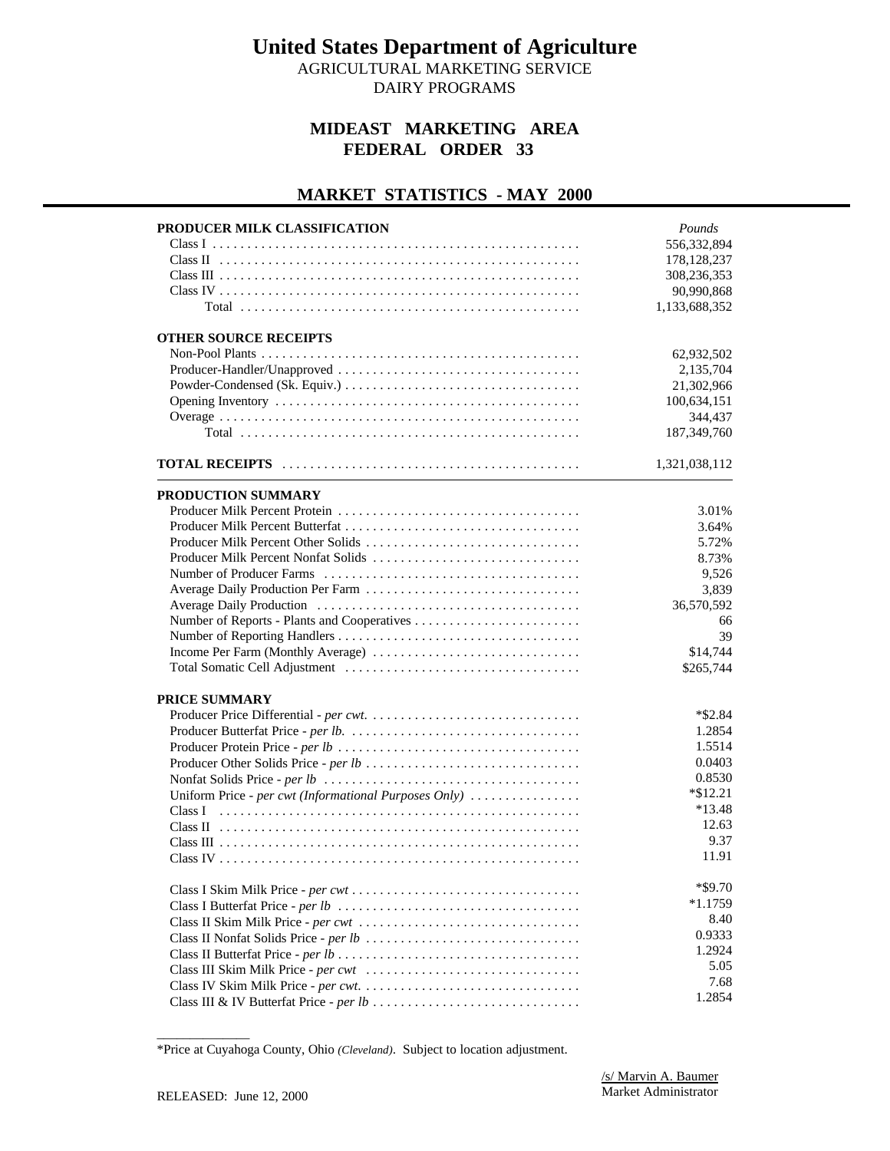AGRICULTURAL MARKETING SERVICE DAIRY PROGRAMS

#### **MIDEAST MARKETING AREA FEDERAL ORDER 33**

# **MARKET STATISTICS - MAY 2000**

| <b>OTHER SOURCE RECEIPTS</b><br>62,932,502<br>2,135,704<br>21,302,966<br>100,634,151                                                                                                                                                                                               |
|------------------------------------------------------------------------------------------------------------------------------------------------------------------------------------------------------------------------------------------------------------------------------------|
| 344,437<br>187, 349, 760                                                                                                                                                                                                                                                           |
| 1,321,038,112                                                                                                                                                                                                                                                                      |
| PRODUCTION SUMMARY<br>3.01%<br>3.64%<br>Producer Milk Percent Other Solids<br>5.72%<br>Producer Milk Percent Nonfat Solids<br>8.73%<br>9,526<br>Average Daily Production Per Farm<br>3,839<br>36,570,592<br>66<br>39<br>Income Per Farm (Monthly Average)<br>\$14,744<br>\$265,744 |
| PRICE SUMMARY<br>$*$ \$2.84<br>1.2854<br>1.5514<br>0.0403<br>0.8530<br>$*$ \$12.21<br>Uniform Price - per cwt (Informational Purposes Only)<br>$*13.48$<br>Class I<br>12.63<br>9.37<br>11.91<br>$*$ \$9.70<br>$*1.1759$<br>8.40<br>0.9333<br>1.2924<br>5.05<br>7.68                |

<sup>\*</sup>Price at Cuyahoga County, Ohio *(Cleveland)*. Subject to location adjustment.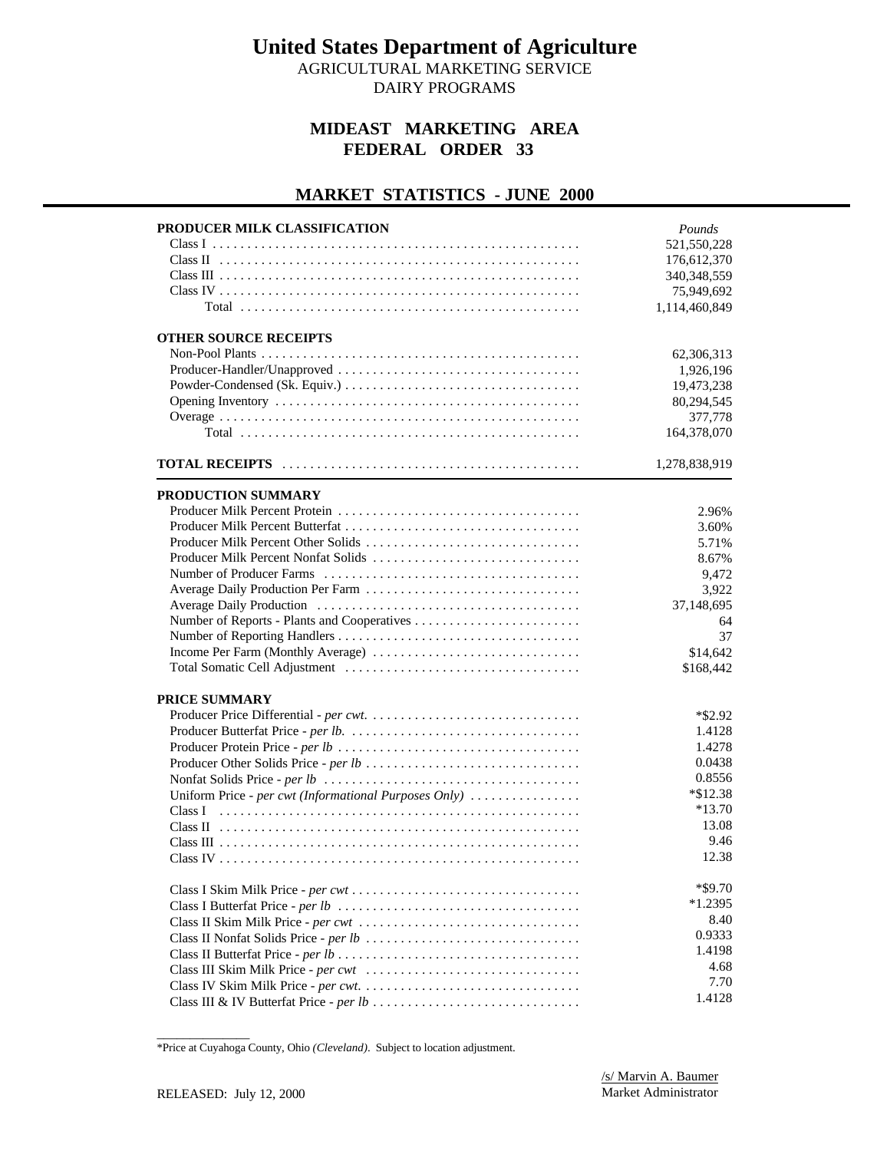AGRICULTURAL MARKETING SERVICE DAIRY PROGRAMS

#### **MIDEAST MARKETING AREA FEDERAL ORDER 33**

#### **MARKET STATISTICS - JUNE 2000**

| PRODUCER MILK CLASSIFICATION                          | Pounds            |
|-------------------------------------------------------|-------------------|
|                                                       | 521,550,228       |
|                                                       | 176,612,370       |
|                                                       | 340, 348, 559     |
|                                                       | 75,949,692        |
|                                                       | 1,114,460,849     |
| <b>OTHER SOURCE RECEIPTS</b>                          |                   |
|                                                       | 62,306,313        |
|                                                       | 1,926,196         |
|                                                       | 19,473,238        |
|                                                       | 80,294,545        |
|                                                       | 377,778           |
|                                                       | 164,378,070       |
|                                                       | 1,278,838,919     |
|                                                       |                   |
| PRODUCTION SUMMARY                                    |                   |
|                                                       | 2.96%             |
|                                                       | 3.60%             |
| Producer Milk Percent Other Solids                    | 5.71%             |
|                                                       | 8.67%             |
|                                                       | 9,472             |
|                                                       | 3,922             |
|                                                       | 37,148,695        |
|                                                       | 64                |
|                                                       | 37                |
| Income Per Farm (Monthly Average)                     | \$14,642          |
|                                                       | \$168,442         |
| PRICE SUMMARY                                         |                   |
|                                                       | $*$ \$2.92        |
|                                                       | 1.4128            |
|                                                       | 1.4278            |
|                                                       | 0.0438            |
|                                                       | 0.8556            |
| Uniform Price - per cwt (Informational Purposes Only) | $*\$12.38$        |
|                                                       | $*13.70$          |
|                                                       | 13.08             |
|                                                       | 9.46              |
|                                                       | 12.38             |
|                                                       |                   |
|                                                       | *\$9.70           |
|                                                       | $*1.2395$<br>8.40 |
|                                                       | 0.9333            |
|                                                       | 1.4198            |
|                                                       |                   |
|                                                       | 4.68              |
|                                                       | 7.70              |
|                                                       | 1.4128            |

<sup>\*</sup>Price at Cuyahoga County, Ohio *(Cleveland)*. Subject to location adjustment.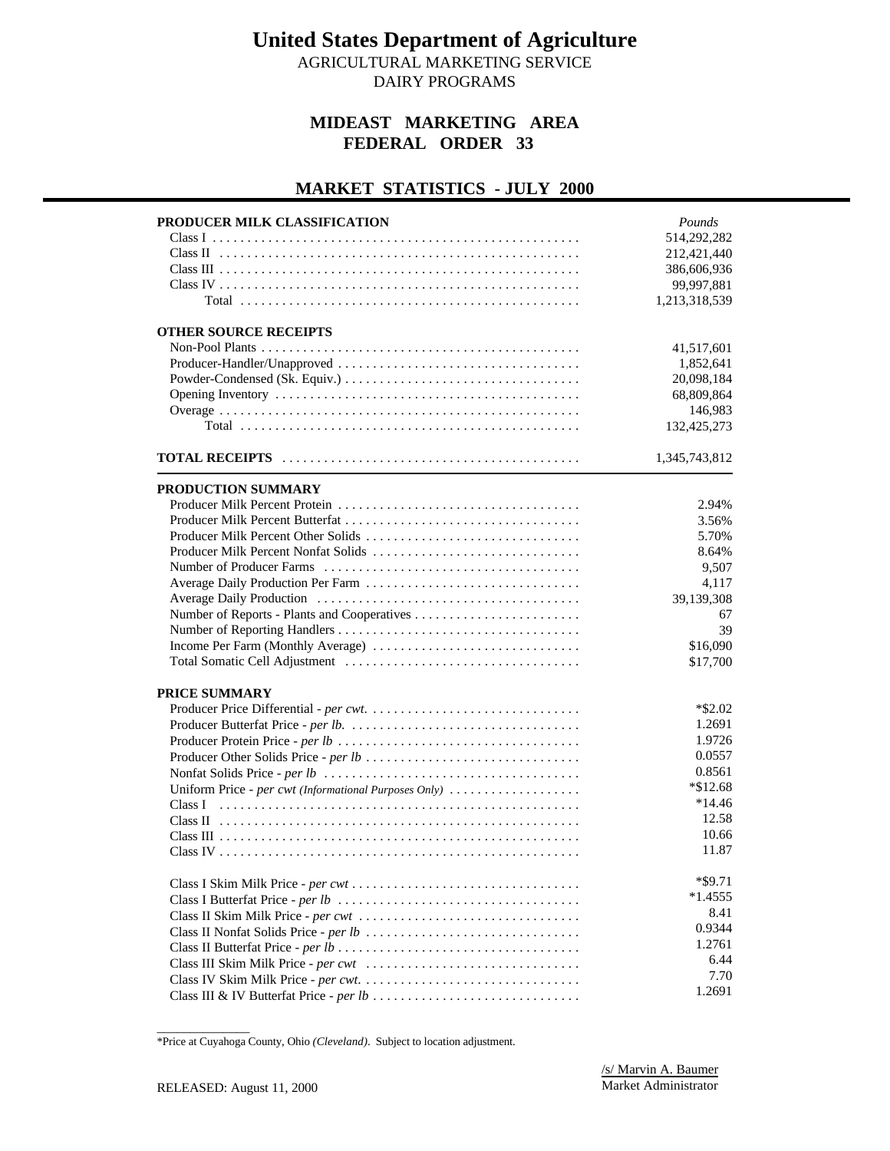AGRICULTURAL MARKETING SERVICE

DAIRY PROGRAMS

#### **MIDEAST MARKETING AREA FEDERAL ORDER 33**

#### **MARKET STATISTICS - JULY 2000**

| 514,292,282<br>212,421,440<br>386,606,936<br>99,997,881<br>1,213,318,539<br><b>OTHER SOURCE RECEIPTS</b><br>41,517,601<br>1,852,641<br>20,098,184<br>68,809,864<br>146,983<br>132,425,273<br>1,345,743,812<br>PRODUCTION SUMMARY<br>2.94%<br>3.56%<br>5.70%<br>8.64%<br>9,507<br>Average Daily Production Per Farm<br>4,117<br>39,139,308<br>67<br>39<br>Income Per Farm (Monthly Average)<br>\$16,090<br>\$17,700<br><b>PRICE SUMMARY</b><br>$*$ \$2.02<br>1.2691<br>1.9726<br>0.0557<br>0.8561<br>$*\$12.68$<br>Uniform Price - per cwt (Informational Purposes Only)<br>$*14.46$<br>12.58<br>10.66<br>11.87<br>*\$9.71<br>$*1.4555$<br>8.41<br>0.9344<br>1.2761<br>6.44<br>7.70<br>1.2691 | PRODUCER MILK CLASSIFICATION | Pounds |
|----------------------------------------------------------------------------------------------------------------------------------------------------------------------------------------------------------------------------------------------------------------------------------------------------------------------------------------------------------------------------------------------------------------------------------------------------------------------------------------------------------------------------------------------------------------------------------------------------------------------------------------------------------------------------------------------|------------------------------|--------|
|                                                                                                                                                                                                                                                                                                                                                                                                                                                                                                                                                                                                                                                                                              |                              |        |
|                                                                                                                                                                                                                                                                                                                                                                                                                                                                                                                                                                                                                                                                                              |                              |        |
|                                                                                                                                                                                                                                                                                                                                                                                                                                                                                                                                                                                                                                                                                              |                              |        |
|                                                                                                                                                                                                                                                                                                                                                                                                                                                                                                                                                                                                                                                                                              |                              |        |
|                                                                                                                                                                                                                                                                                                                                                                                                                                                                                                                                                                                                                                                                                              |                              |        |
|                                                                                                                                                                                                                                                                                                                                                                                                                                                                                                                                                                                                                                                                                              |                              |        |
|                                                                                                                                                                                                                                                                                                                                                                                                                                                                                                                                                                                                                                                                                              |                              |        |
|                                                                                                                                                                                                                                                                                                                                                                                                                                                                                                                                                                                                                                                                                              |                              |        |
|                                                                                                                                                                                                                                                                                                                                                                                                                                                                                                                                                                                                                                                                                              |                              |        |
|                                                                                                                                                                                                                                                                                                                                                                                                                                                                                                                                                                                                                                                                                              |                              |        |
|                                                                                                                                                                                                                                                                                                                                                                                                                                                                                                                                                                                                                                                                                              |                              |        |
|                                                                                                                                                                                                                                                                                                                                                                                                                                                                                                                                                                                                                                                                                              |                              |        |
|                                                                                                                                                                                                                                                                                                                                                                                                                                                                                                                                                                                                                                                                                              |                              |        |
|                                                                                                                                                                                                                                                                                                                                                                                                                                                                                                                                                                                                                                                                                              |                              |        |
|                                                                                                                                                                                                                                                                                                                                                                                                                                                                                                                                                                                                                                                                                              |                              |        |
|                                                                                                                                                                                                                                                                                                                                                                                                                                                                                                                                                                                                                                                                                              |                              |        |
|                                                                                                                                                                                                                                                                                                                                                                                                                                                                                                                                                                                                                                                                                              |                              |        |
|                                                                                                                                                                                                                                                                                                                                                                                                                                                                                                                                                                                                                                                                                              |                              |        |
|                                                                                                                                                                                                                                                                                                                                                                                                                                                                                                                                                                                                                                                                                              |                              |        |
|                                                                                                                                                                                                                                                                                                                                                                                                                                                                                                                                                                                                                                                                                              |                              |        |
|                                                                                                                                                                                                                                                                                                                                                                                                                                                                                                                                                                                                                                                                                              |                              |        |
|                                                                                                                                                                                                                                                                                                                                                                                                                                                                                                                                                                                                                                                                                              |                              |        |
|                                                                                                                                                                                                                                                                                                                                                                                                                                                                                                                                                                                                                                                                                              |                              |        |
|                                                                                                                                                                                                                                                                                                                                                                                                                                                                                                                                                                                                                                                                                              |                              |        |
|                                                                                                                                                                                                                                                                                                                                                                                                                                                                                                                                                                                                                                                                                              |                              |        |
|                                                                                                                                                                                                                                                                                                                                                                                                                                                                                                                                                                                                                                                                                              |                              |        |
|                                                                                                                                                                                                                                                                                                                                                                                                                                                                                                                                                                                                                                                                                              |                              |        |
|                                                                                                                                                                                                                                                                                                                                                                                                                                                                                                                                                                                                                                                                                              |                              |        |
|                                                                                                                                                                                                                                                                                                                                                                                                                                                                                                                                                                                                                                                                                              |                              |        |
|                                                                                                                                                                                                                                                                                                                                                                                                                                                                                                                                                                                                                                                                                              |                              |        |
|                                                                                                                                                                                                                                                                                                                                                                                                                                                                                                                                                                                                                                                                                              |                              |        |
|                                                                                                                                                                                                                                                                                                                                                                                                                                                                                                                                                                                                                                                                                              |                              |        |
|                                                                                                                                                                                                                                                                                                                                                                                                                                                                                                                                                                                                                                                                                              |                              |        |
|                                                                                                                                                                                                                                                                                                                                                                                                                                                                                                                                                                                                                                                                                              |                              |        |
|                                                                                                                                                                                                                                                                                                                                                                                                                                                                                                                                                                                                                                                                                              |                              |        |
|                                                                                                                                                                                                                                                                                                                                                                                                                                                                                                                                                                                                                                                                                              |                              |        |
|                                                                                                                                                                                                                                                                                                                                                                                                                                                                                                                                                                                                                                                                                              |                              |        |
|                                                                                                                                                                                                                                                                                                                                                                                                                                                                                                                                                                                                                                                                                              |                              |        |
|                                                                                                                                                                                                                                                                                                                                                                                                                                                                                                                                                                                                                                                                                              |                              |        |
|                                                                                                                                                                                                                                                                                                                                                                                                                                                                                                                                                                                                                                                                                              |                              |        |
|                                                                                                                                                                                                                                                                                                                                                                                                                                                                                                                                                                                                                                                                                              |                              |        |
|                                                                                                                                                                                                                                                                                                                                                                                                                                                                                                                                                                                                                                                                                              |                              |        |
|                                                                                                                                                                                                                                                                                                                                                                                                                                                                                                                                                                                                                                                                                              |                              |        |
|                                                                                                                                                                                                                                                                                                                                                                                                                                                                                                                                                                                                                                                                                              |                              |        |

\_\_\_\_\_\_\_\_\_\_\_\_\_\_ \*Price at Cuyahoga County, Ohio *(Cleveland)*. Subject to location adjustment.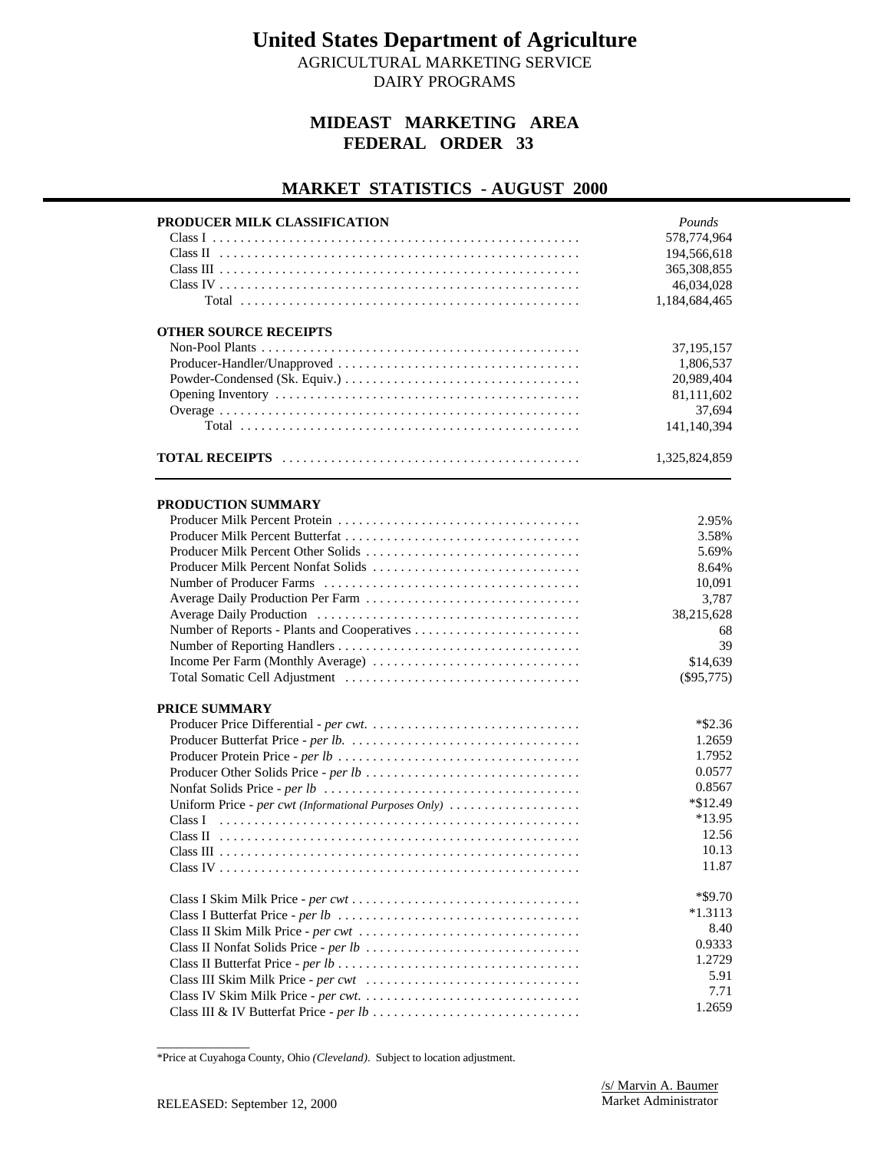AGRICULTURAL MARKETING SERVICE

DAIRY PROGRAMS

#### **MIDEAST MARKETING AREA FEDERAL ORDER 33**

#### **MARKET STATISTICS - AUGUST 2000**

| PRODUCER MILK CLASSIFICATION                          | Pounds<br>578,774,964<br>194,566,618<br>365, 308, 855<br>46,034,028<br>1,184,684,465 |
|-------------------------------------------------------|--------------------------------------------------------------------------------------|
| <b>OTHER SOURCE RECEIPTS</b>                          | 37, 195, 157<br>1,806,537<br>20,989,404<br>81,111,602<br>37,694<br>141,140,394       |
|                                                       | 1,325,824,859                                                                        |
| PRODUCTION SUMMARY                                    |                                                                                      |
|                                                       | 2.95%                                                                                |
|                                                       | 3.58%                                                                                |
| Producer Milk Percent Other Solids                    | 5.69%                                                                                |
| Producer Milk Percent Nonfat Solids                   | 8.64%                                                                                |
|                                                       | 10,091                                                                               |
| Average Daily Production Per Farm                     | 3,787                                                                                |
|                                                       | 38,215,628                                                                           |
|                                                       | 68                                                                                   |
|                                                       | 39                                                                                   |
|                                                       | \$14,639                                                                             |
|                                                       | $(\$95,775)$                                                                         |
| PRICE SUMMARY                                         |                                                                                      |
|                                                       | $*$ \$2.36                                                                           |
|                                                       | 1.2659                                                                               |
|                                                       | 1.7952                                                                               |
|                                                       | 0.0577                                                                               |
|                                                       | 0.8567                                                                               |
| Uniform Price - per cwt (Informational Purposes Only) | *\$12.49                                                                             |
|                                                       | *13.95                                                                               |
|                                                       | 12.56                                                                                |
|                                                       | 10.13                                                                                |
|                                                       | 11.87                                                                                |
|                                                       | $*$ \$9.70                                                                           |
|                                                       | $*1.3113$                                                                            |
|                                                       | 8.40                                                                                 |
|                                                       | 0.9333                                                                               |
|                                                       | 1.2729                                                                               |
|                                                       | 5.91                                                                                 |
|                                                       | 7.71                                                                                 |
|                                                       | 1.2659                                                                               |

<sup>\*</sup>Price at Cuyahoga County, Ohio *(Cleveland)*. Subject to location adjustment.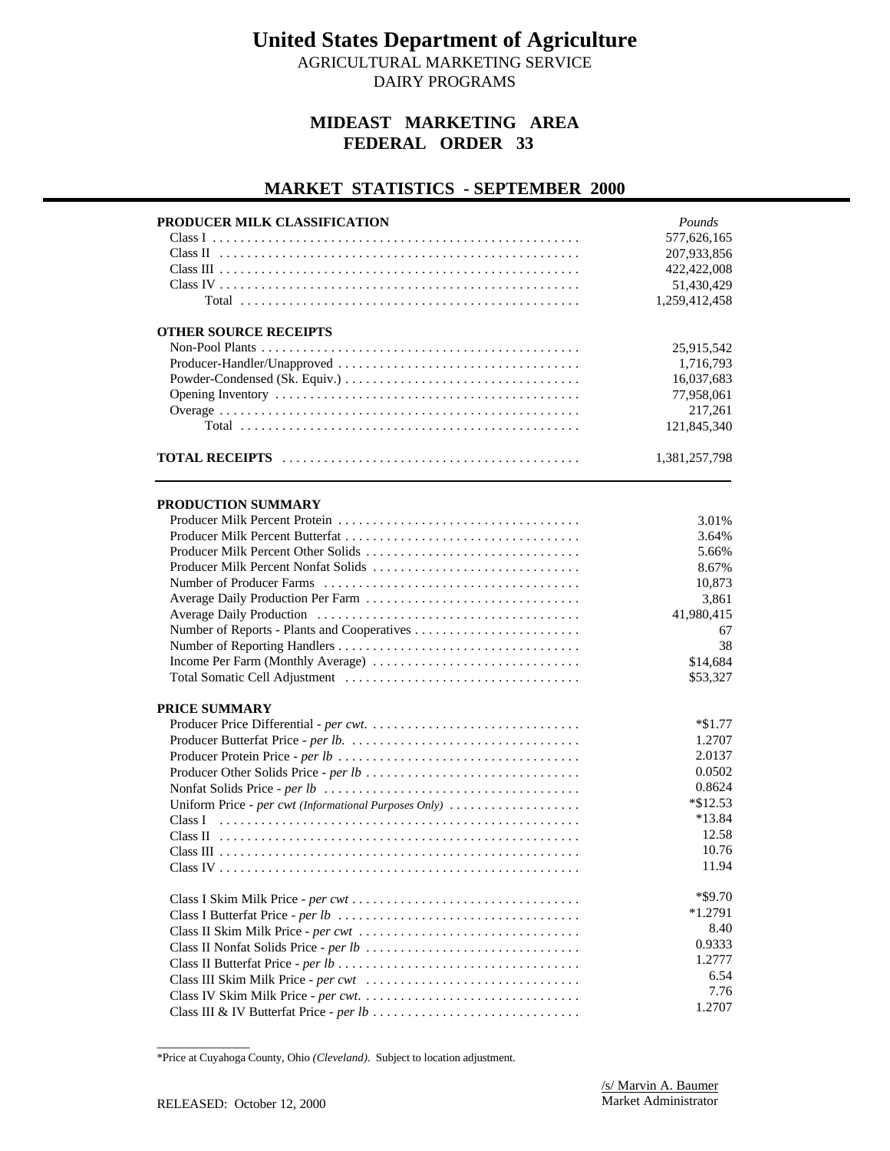AGRICULTURAL MARKETING SERVICE DAIRY PROGRAMS

#### **MIDEAST MARKETING AREA FEDERAL ORDER 33**

#### **MARKET STATISTICS - SEPTEMBER 2000**

| PRODUCER MILK CLASSIFICATION                          | Pounds        |
|-------------------------------------------------------|---------------|
|                                                       | 577,626,165   |
|                                                       | 207,933,856   |
|                                                       | 422,422,008   |
|                                                       | 51,430,429    |
|                                                       | 1,259,412,458 |
| <b>OTHER SOURCE RECEIPTS</b>                          |               |
|                                                       | 25,915,542    |
|                                                       | 1,716,793     |
|                                                       | 16,037,683    |
|                                                       | 77,958,061    |
|                                                       | 217,261       |
|                                                       | 121,845,340   |
|                                                       | 1,381,257,798 |
|                                                       |               |
| PRODUCTION SUMMARY                                    |               |
|                                                       | 3.01%         |
|                                                       | 3.64%         |
| Producer Milk Percent Other Solids                    | 5.66%         |
|                                                       | 8.67%         |
|                                                       | 10,873        |
|                                                       | 3,861         |
|                                                       | 41,980,415    |
|                                                       | 67            |
|                                                       | 38            |
|                                                       | \$14,684      |
|                                                       | \$53,327      |
| <b>PRICE SUMMARY</b>                                  |               |
|                                                       | $*\$1.77$     |
|                                                       | 1.2707        |
|                                                       | 2.0137        |
|                                                       | 0.0502        |
|                                                       | 0.8624        |
| Uniform Price - per cwt (Informational Purposes Only) | $*\$12.53$    |
|                                                       | $*13.84$      |
|                                                       | 12.58         |
|                                                       | 10.76         |
|                                                       | 11.94         |
|                                                       | $*$ \$9.70    |
|                                                       | $*1.2791$     |
|                                                       | 8.40          |
|                                                       | 0.9333        |
|                                                       | 1.2777        |
|                                                       | 6.54          |
|                                                       | 7.76          |
|                                                       | 1.2707        |

<sup>\*</sup>Price at Cuyahoga County, Ohio *(Cleveland)*. Subject to location adjustment.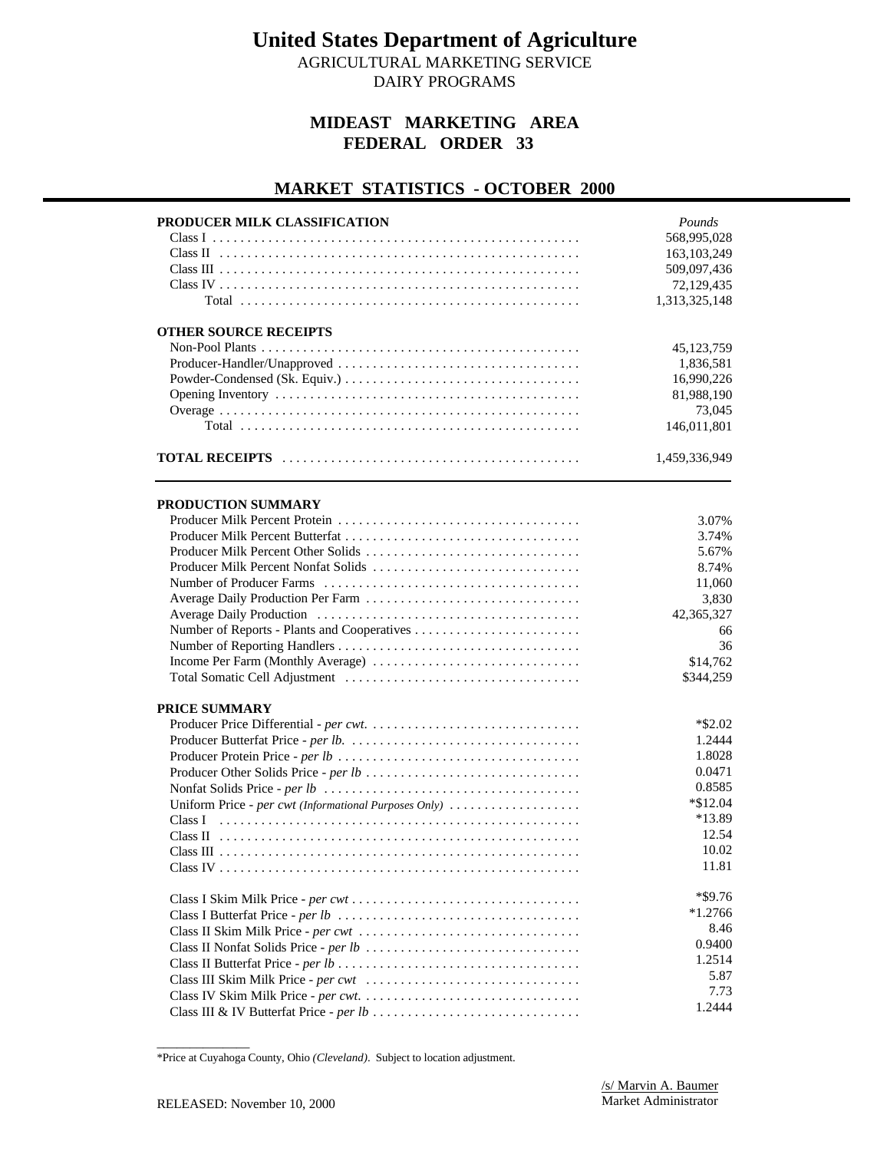AGRICULTURAL MARKETING SERVICE DAIRY PROGRAMS

#### **MIDEAST MARKETING AREA FEDERAL ORDER 33**

#### **MARKET STATISTICS - OCTOBER 2000**

| PRODUCER MILK CLASSIFICATION                          | Pounds        |
|-------------------------------------------------------|---------------|
|                                                       | 568,995,028   |
|                                                       | 163, 103, 249 |
|                                                       | 509,097,436   |
|                                                       | 72,129,435    |
|                                                       | 1,313,325,148 |
| <b>OTHER SOURCE RECEIPTS</b>                          |               |
|                                                       | 45,123,759    |
|                                                       | 1,836,581     |
|                                                       | 16,990,226    |
|                                                       | 81,988,190    |
|                                                       | 73,045        |
|                                                       | 146,011,801   |
|                                                       | 1,459,336,949 |
|                                                       |               |
| PRODUCTION SUMMARY                                    | 3.07%         |
|                                                       | 3.74%         |
| Producer Milk Percent Other Solids                    | 5.67%         |
|                                                       | 8.74%         |
|                                                       | 11,060        |
|                                                       | 3,830         |
|                                                       |               |
|                                                       | 42,365,327    |
|                                                       | 66<br>36      |
|                                                       | \$14,762      |
|                                                       |               |
|                                                       | \$344,259     |
| PRICE SUMMARY                                         |               |
|                                                       | $*$ \$2.02    |
|                                                       | 1.2444        |
|                                                       | 1.8028        |
|                                                       | 0.0471        |
|                                                       | 0.8585        |
| Uniform Price - per cwt (Informational Purposes Only) | $*$ \$12.04   |
|                                                       | *13.89        |
|                                                       | 12.54         |
|                                                       | 10.02         |
|                                                       | 11.81         |
|                                                       | $*$ \$9.76    |
|                                                       | $*1.2766$     |
|                                                       | 8.46          |
|                                                       | 0.9400        |
|                                                       | 1.2514        |
|                                                       | 5.87          |
|                                                       | 7.73          |
|                                                       | 1.2444        |

<sup>\*</sup>Price at Cuyahoga County, Ohio *(Cleveland)*. Subject to location adjustment.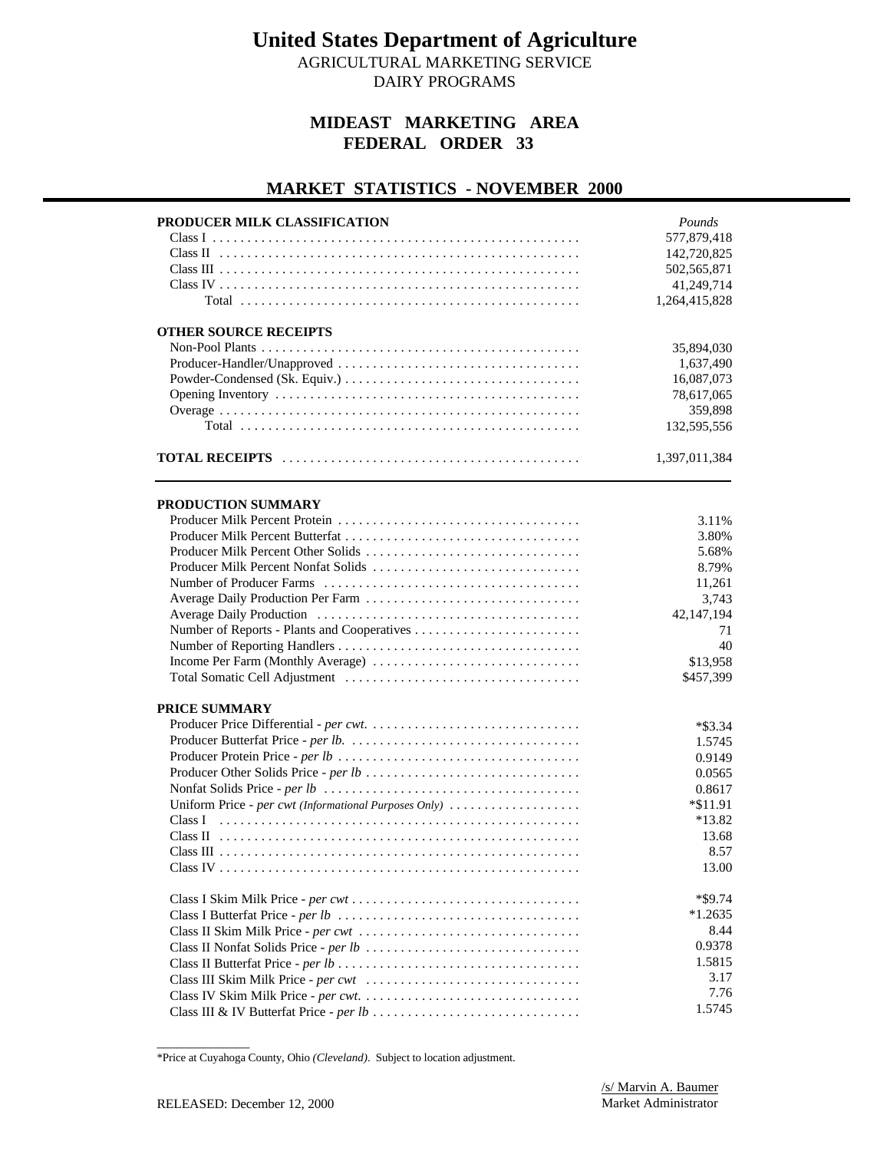AGRICULTURAL MARKETING SERVICE DAIRY PROGRAMS

#### **MIDEAST MARKETING AREA FEDERAL ORDER 33**

#### **MARKET STATISTICS - NOVEMBER 2000**

| 577,879,418<br>142,720,825<br>502,565,871<br>41,249,714<br>1,264,415,828<br><b>OTHER SOURCE RECEIPTS</b><br>35,894,030<br>1,637,490<br>16,087,073<br>78,617,065<br>359,898<br>132,595,556<br>1,397,011,384<br>PRODUCTION SUMMARY<br>3.11%<br>3.80%<br>Producer Milk Percent Other Solids<br>5.68%<br>Producer Milk Percent Nonfat Solids<br>8.79%<br>11,261<br>3,743<br>42,147,194<br>71<br>40<br>Income Per Farm (Monthly Average)<br>\$13,958<br>\$457,399<br>$*$ \$3.34<br>1.5745<br>0.9149<br>0.0565<br>0.8617<br>Uniform Price - per cwt (Informational Purposes Only)<br>$*\$11.91$<br>$*13.82$<br>13.68<br>8.57<br>13.00<br>$*$ \$9.74<br>$*1.2635$<br>8.44<br>0.9378<br>1.5815<br>3.17<br>7.76<br>1.5745 | PRODUCER MILK CLASSIFICATION | Pounds |
|------------------------------------------------------------------------------------------------------------------------------------------------------------------------------------------------------------------------------------------------------------------------------------------------------------------------------------------------------------------------------------------------------------------------------------------------------------------------------------------------------------------------------------------------------------------------------------------------------------------------------------------------------------------------------------------------------------------|------------------------------|--------|
|                                                                                                                                                                                                                                                                                                                                                                                                                                                                                                                                                                                                                                                                                                                  |                              |        |
|                                                                                                                                                                                                                                                                                                                                                                                                                                                                                                                                                                                                                                                                                                                  |                              |        |
|                                                                                                                                                                                                                                                                                                                                                                                                                                                                                                                                                                                                                                                                                                                  |                              |        |
|                                                                                                                                                                                                                                                                                                                                                                                                                                                                                                                                                                                                                                                                                                                  |                              |        |
|                                                                                                                                                                                                                                                                                                                                                                                                                                                                                                                                                                                                                                                                                                                  |                              |        |
|                                                                                                                                                                                                                                                                                                                                                                                                                                                                                                                                                                                                                                                                                                                  |                              |        |
|                                                                                                                                                                                                                                                                                                                                                                                                                                                                                                                                                                                                                                                                                                                  |                              |        |
|                                                                                                                                                                                                                                                                                                                                                                                                                                                                                                                                                                                                                                                                                                                  |                              |        |
|                                                                                                                                                                                                                                                                                                                                                                                                                                                                                                                                                                                                                                                                                                                  |                              |        |
|                                                                                                                                                                                                                                                                                                                                                                                                                                                                                                                                                                                                                                                                                                                  |                              |        |
|                                                                                                                                                                                                                                                                                                                                                                                                                                                                                                                                                                                                                                                                                                                  |                              |        |
|                                                                                                                                                                                                                                                                                                                                                                                                                                                                                                                                                                                                                                                                                                                  |                              |        |
|                                                                                                                                                                                                                                                                                                                                                                                                                                                                                                                                                                                                                                                                                                                  |                              |        |
|                                                                                                                                                                                                                                                                                                                                                                                                                                                                                                                                                                                                                                                                                                                  |                              |        |
|                                                                                                                                                                                                                                                                                                                                                                                                                                                                                                                                                                                                                                                                                                                  |                              |        |
|                                                                                                                                                                                                                                                                                                                                                                                                                                                                                                                                                                                                                                                                                                                  |                              |        |
|                                                                                                                                                                                                                                                                                                                                                                                                                                                                                                                                                                                                                                                                                                                  |                              |        |
|                                                                                                                                                                                                                                                                                                                                                                                                                                                                                                                                                                                                                                                                                                                  |                              |        |
|                                                                                                                                                                                                                                                                                                                                                                                                                                                                                                                                                                                                                                                                                                                  |                              |        |
|                                                                                                                                                                                                                                                                                                                                                                                                                                                                                                                                                                                                                                                                                                                  |                              |        |
|                                                                                                                                                                                                                                                                                                                                                                                                                                                                                                                                                                                                                                                                                                                  |                              |        |
|                                                                                                                                                                                                                                                                                                                                                                                                                                                                                                                                                                                                                                                                                                                  |                              |        |
|                                                                                                                                                                                                                                                                                                                                                                                                                                                                                                                                                                                                                                                                                                                  |                              |        |
|                                                                                                                                                                                                                                                                                                                                                                                                                                                                                                                                                                                                                                                                                                                  |                              |        |
|                                                                                                                                                                                                                                                                                                                                                                                                                                                                                                                                                                                                                                                                                                                  |                              |        |
|                                                                                                                                                                                                                                                                                                                                                                                                                                                                                                                                                                                                                                                                                                                  |                              |        |
|                                                                                                                                                                                                                                                                                                                                                                                                                                                                                                                                                                                                                                                                                                                  | <b>PRICE SUMMARY</b>         |        |
|                                                                                                                                                                                                                                                                                                                                                                                                                                                                                                                                                                                                                                                                                                                  |                              |        |
|                                                                                                                                                                                                                                                                                                                                                                                                                                                                                                                                                                                                                                                                                                                  |                              |        |
|                                                                                                                                                                                                                                                                                                                                                                                                                                                                                                                                                                                                                                                                                                                  |                              |        |
|                                                                                                                                                                                                                                                                                                                                                                                                                                                                                                                                                                                                                                                                                                                  |                              |        |
|                                                                                                                                                                                                                                                                                                                                                                                                                                                                                                                                                                                                                                                                                                                  |                              |        |
|                                                                                                                                                                                                                                                                                                                                                                                                                                                                                                                                                                                                                                                                                                                  |                              |        |
|                                                                                                                                                                                                                                                                                                                                                                                                                                                                                                                                                                                                                                                                                                                  |                              |        |
|                                                                                                                                                                                                                                                                                                                                                                                                                                                                                                                                                                                                                                                                                                                  |                              |        |
|                                                                                                                                                                                                                                                                                                                                                                                                                                                                                                                                                                                                                                                                                                                  |                              |        |
|                                                                                                                                                                                                                                                                                                                                                                                                                                                                                                                                                                                                                                                                                                                  |                              |        |
|                                                                                                                                                                                                                                                                                                                                                                                                                                                                                                                                                                                                                                                                                                                  |                              |        |
|                                                                                                                                                                                                                                                                                                                                                                                                                                                                                                                                                                                                                                                                                                                  |                              |        |
|                                                                                                                                                                                                                                                                                                                                                                                                                                                                                                                                                                                                                                                                                                                  |                              |        |
|                                                                                                                                                                                                                                                                                                                                                                                                                                                                                                                                                                                                                                                                                                                  |                              |        |
|                                                                                                                                                                                                                                                                                                                                                                                                                                                                                                                                                                                                                                                                                                                  |                              |        |
|                                                                                                                                                                                                                                                                                                                                                                                                                                                                                                                                                                                                                                                                                                                  |                              |        |
|                                                                                                                                                                                                                                                                                                                                                                                                                                                                                                                                                                                                                                                                                                                  |                              |        |
|                                                                                                                                                                                                                                                                                                                                                                                                                                                                                                                                                                                                                                                                                                                  |                              |        |

<sup>\*</sup>Price at Cuyahoga County, Ohio *(Cleveland)*. Subject to location adjustment.